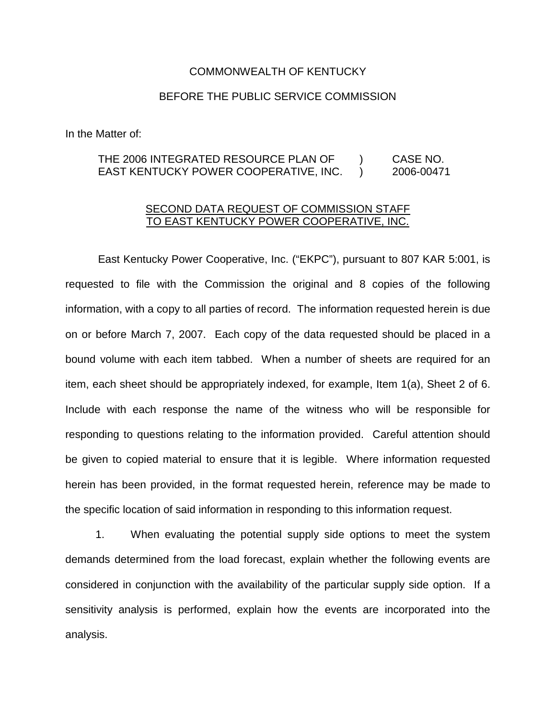## COMMONWEALTH OF KENTUCKY

## BEFORE THE PUBLIC SERVICE COMMISSION

In the Matter of:

## THE 2006 INTEGRATED RESOURCE PLAN OF ) CASE NO. EAST KENTUCKY POWER COOPERATIVE, INC. ) 2006-00471

## SECOND DATA REQUEST OF COMMISSION STAFF TO EAST KENTUCKY POWER COOPERATIVE, INC.

East Kentucky Power Cooperative, Inc. ("EKPC"), pursuant to 807 KAR 5:001, is requested to file with the Commission the original and 8 copies of the following information, with a copy to all parties of record. The information requested herein is due on or before March 7, 2007. Each copy of the data requested should be placed in a bound volume with each item tabbed. When a number of sheets are required for an item, each sheet should be appropriately indexed, for example, Item 1(a), Sheet 2 of 6. Include with each response the name of the witness who will be responsible for responding to questions relating to the information provided. Careful attention should be given to copied material to ensure that it is legible. Where information requested herein has been provided, in the format requested herein, reference may be made to the specific location of said information in responding to this information request.

1. When evaluating the potential supply side options to meet the system demands determined from the load forecast, explain whether the following events are considered in conjunction with the availability of the particular supply side option. If a sensitivity analysis is performed, explain how the events are incorporated into the analysis.